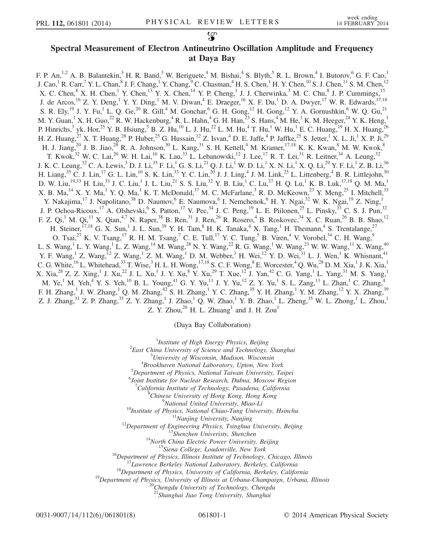## Spectral Measurement of Electron Antineutrino Oscillation Amplitude and Frequency at Daya Bay

F. P. An, <sup>1,2</sup> A. B. Balantekin,<sup>3</sup> H. R. Band,<sup>3</sup> W. Beriguete,<sup>4</sup> M. Bishai,<sup>4</sup> S. Blyth,<sup>5</sup> R. L. Brown,<sup>4</sup> I. Butorov,<sup>6</sup> G. F. Cao,<sup>1</sup> J. Cao,<sup>1</sup> R. Carr,<sup>7</sup> Y. L. Chan,<sup>8</sup> J. F. Chang,<sup>1</sup> Y. Chang,<sup>9</sup> C. Chasman,<sup>4</sup> H. S. Chen,<sup>1</sup> H. Y. Chen,<sup>10</sup> S. J. Chen,<sup>11</sup> S. M. Chen,<sup>12</sup> X. C. Chen,  $8$  X. H. Chen,  $1$  Y. Chen,  $13$  Y. X. Chen,  $14$  Y. P. Cheng,  $1$  J. J. Cherwinka,  $3$  M. C. Chu,  $8$  J. P. Cummings,  $15$ J. de Arcos,<sup>16</sup> Z. Y. Deng,<sup>1</sup> Y. Y. Ding,<sup>1</sup> M. V. Diwan,<sup>4</sup> E. Draeger,<sup>16</sup> X. F. Du,<sup>1</sup> D. A. Dwyer,<sup>17</sup> W. R. Edwards,<sup>17,18</sup> S. R. Ely,<sup>19</sup> J. Y. Fu,<sup>1</sup> L. Q. Ge,<sup>20</sup> R. Gill,<sup>4</sup> M. Gonchar,<sup>6</sup> G. H. Gong,<sup>12</sup> H. Gong,<sup>12</sup> Y. A. Gornushkin,<sup>6</sup> W. Q. Gu,<sup>21</sup> M. Y. Guan,<sup>1</sup> X. H. Guo,<sup>22</sup> R. W. Hackenburg,<sup>4</sup> R. L. Hahn,<sup>4</sup> G. H. Han,<sup>23</sup> S. Hans,<sup>4</sup> M. He,<sup>1</sup> K. M. Heeger,<sup>24</sup> Y. K. Heng,<sup>1</sup> P. Hinrichs,  $3$  yk. Hor,  $25$  Y. B. Hsiung,  $5$  B. Z. Hu,  $^{10}$  L. J. Hu,  $^{22}$  L. M. Hu,  $4$  T. Hu,  $^{1}$  W. Hu,  $^{1}$  E. C. Huang,  $^{19}$  H. X. Huang,  $^{26}$ H. Z. Huang,<sup>27</sup> X. T. Huang,<sup>28</sup> P. Huber,<sup>25</sup> G. Hussain,<sup>12</sup> Z. Isvan,<sup>4</sup> D. E. Jaffe,<sup>4</sup> P. Jaffke,<sup>25</sup> S. Jetter,<sup>1</sup> X. L. Ji,<sup>1</sup> X. P. Ji,<sup>29</sup> H. J. Jiang,<sup>20</sup> J. B. Jiao,<sup>28</sup> R. A. Johnson,<sup>30</sup> L. Kang,<sup>31</sup> S. H. Kettell,<sup>4</sup> M. Kramer,<sup>17,18</sup> K. K. Kwan,<sup>8</sup> M. W. Kwok,<sup>8</sup> T. Kwok,<sup>32</sup> W. C. Lai,<sup>20</sup> W. H. Lai,<sup>10</sup> K. Lau,<sup>33</sup> L. Lebanowski,<sup>12</sup> J. Lee,<sup>17</sup> R. T. Lei,<sup>31</sup> R. Leitner,<sup>34</sup> A. Leung,<sup>32</sup> J. K. C. Leung, $^{32}$  C. A. Lewis, $^3$  D. J. Li, $^{35}$  F. Li, $^1$  G. S. Li, $^{21}$  Q. J. Li, $^1$  W. D. Li, $^1$  X. N. Li, $^1$  X. Q. Li, $^{29}$  Y. F. Li, $^1$  Z. B. Li, $^{36}$ H. Liang,  $35$  C. J. Lin,  $17$  G. L. Lin,  $10$  S. K. Lin,  $33$  Y. C. Lin,  $20$  J. J. Ling,  $4$  J. M. Link,  $25$  L. Littenberg,  $4$  B. R. Littlejohn,  $30$ D. W. Liu, $^{19,33}$  H. Liu, $^{33}$  J. C. Liu, $^{1}$  J. L. Liu, $^{21}$  S. S. Liu, $^{32}$  Y. B. Liu, $^{1}$  C. Lu, $^{37}$  H. Q. Lu, $^{1}$  K. B. Luk, $^{17,18}$  Q. M. Ma, $^{1}$ X. B. Ma,  $14$  X. Y. Ma, <sup>1</sup> Y. Q. Ma, <sup>1</sup> K. T. McDonald,  $37$  M. C. McFarlane,  $3$  R. D. McKeown,  $23$  Y. Meng,  $25$  I. Mitchell,  $33$ Y. Nakajima,<sup>17</sup> J. Napolitano,<sup>38</sup> D. Naumov,<sup>6</sup> E. Naumova,<sup>6</sup> I. Nemchenok,<sup>6</sup> H. Y. Ngai,<sup>32</sup> W. K. Ngai,<sup>19</sup> Z. Ning,<sup>1</sup> J. P. Ochoa-Ricoux,<sup>17</sup> A. Olshevski, <sup>6</sup> S. Patton,<sup>17</sup> V. Pec, <sup>34</sup> J. C. Peng, <sup>19</sup> L. E. Piilonen, <sup>25</sup> L. Pinsky, <sup>33</sup> C. S. J. Pun, <sup>32</sup> F. Z. Qi,<sup>1</sup> M. Qi,<sup>11</sup> X. Qian,<sup>4,7</sup> N. Raper,<sup>38</sup> B. Ren,<sup>31</sup> J. Ren,<sup>26</sup> R. Rosero,<sup>4</sup> B. Roskovec,<sup>34</sup> X. C. Ruan,<sup>26</sup> B. B. Shao,<sup>12</sup> H. Steiner,  $^{17,18}$  G. X. Sun, <sup>1</sup> J. L. Sun, <sup>39</sup> Y. H. Tam, <sup>8</sup> H. K. Tanaka, <sup>4</sup> X. Tang, <sup>1</sup> H. Themann, <sup>4</sup> S. Trentalange, <sup>27</sup> O. Tsai,<sup>27</sup> K. V. Tsang,<sup>17</sup> R. H. M. Tsang,<sup>7</sup> C. E. Tull,<sup>17</sup> Y. C. Tung,<sup>5</sup> B. Viren,<sup>4</sup> V. Vorobel,<sup>34</sup> C. H. Wang,<sup>9</sup> L. S. Wang,<sup>1</sup> L. Y. Wang,<sup>1</sup> L. Z. Wang,<sup>14</sup> M. Wang,<sup>28</sup> N. Y. Wang,<sup>22</sup> R. G. Wang,<sup>1</sup> W. Wang,<sup>23</sup> W. W. Wang,<sup>11</sup> X. Wang,<sup>40</sup> Y. F. Wang,<sup>1</sup> Z. Wang,<sup>12</sup> Z. Wang,<sup>1</sup> Z. M. Wang,<sup>1</sup> D. M. Webber,<sup>3</sup> H. Wei,<sup>12</sup> Y. D. Wei,<sup>31</sup> L. J. Wen,<sup>1</sup> K. Whisnant,<sup>41</sup> C. G. White,  $^{16}$  L. Whitehead,  $^{33}$  T. Wise,  $^3$  H. L. H. Wong,  $^{17,18}$  S. C. F. Wong,  $^8$  E. Worcester,  $^4$  Q. Wu,  $^{28}$  D. M. Xia,  $^1$  J. K. Xia,  $^1$ X. Xia,<sup>28</sup> Z. Z. Xing,<sup>1</sup> J. Xu,<sup>22</sup> J. L. Xu,<sup>1</sup> J. Y. Xu,<sup>8</sup> Y. Xu,<sup>29</sup> T. Xue,<sup>12</sup> J. Yan,<sup>42</sup> C. G. Yang,<sup>1</sup> L. Yang,<sup>31</sup> M. S. Yang,<sup>1</sup> M. Ye,<sup>1</sup> M. Yeh,<sup>4</sup> Y. S. Yeh,<sup>10</sup> B. L. Young,<sup>41</sup> G. Y. Yu,<sup>11</sup> J. Y. Yu,<sup>12</sup> Z. Y. Yu,<sup>1</sup> S. L. Zang,<sup>11</sup> L. Zhan,<sup>1</sup> C. Zhang,<sup>4</sup> F. H. Zhang,<sup>1</sup> J. W. Zhang,<sup>1</sup> Q. M. Zhang,<sup>42</sup> S. H. Zhang,<sup>1</sup> Y. C. Zhang,<sup>35</sup> Y. H. Zhang,<sup>1</sup> Y. M. Zhang,<sup>12</sup> Y. X. Zhang,<sup>39</sup> Z. J. Zhang,<sup>31</sup> Z. P. Zhang,<sup>35</sup> Z. Y. Zhang,<sup>1</sup> J. Zhao,<sup>1</sup> Q. W. Zhao,<sup>1</sup> Y. B. Zhao,<sup>1</sup> L. Zheng,<sup>35</sup> W. L. Zhong,<sup>1</sup> L. Zhou,<sup>1</sup> Z. Y. Zhou, $^{26}$  H. L. Zhuang<sup>1</sup> and J. H. Zou<sup>1</sup>

(Daya Bay Collaboration)

<sup>1</sup>Institute of High Energy Physics, Beijing<sup>2</sup> East China University of Science and Technology  $2$ East China University of Science and Technology, Shanghai <sup>3</sup>University of Wisconsin, Madison, Wisconsin  ${}^{4}$ Brookhaven National Laboratory, Upton, New York  $5$ Department of Physics, National Taiwan University, Taipei Joint Institute for Nuclear Research, Dubna, Moscow Region <sup>7</sup>California Institute of Technology, Pasadena, California <sup>8</sup>Chinese University of Hong Kong, Hong Kong<br><sup>9</sup>National United University, Miao-Li <sup>9</sup>National United University, Miao-Li<br><sup>10</sup>Institute of Physics, National Chiao-Tung University, Hsinchu<br><sup>11</sup>Nanjing University, Nanjing<br><sup>12</sup>Department of Engineering Physics, Tsinghua University, Beijing<br><sup>13</sup>Shenzhen Uni

<sup>21</sup>Shanghai Jiao Tong University, Shanghai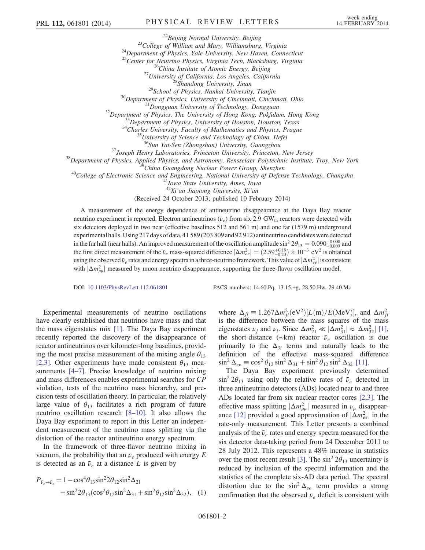<sup>22</sup>Beijing Normal University, Beijing<br><sup>23</sup>College of William and Mary, Williamsburg, Virginia<br><sup>24</sup>Department of Physics, Yale University, New Haven, Connecticut<br><sup>25</sup>Center for Neutrino Physics, Virginia Tech, Blacksburg, <sup>26</sup>China Institute of Atomic Energy, Beijing<br><sup>27</sup>University of California, Los Angeles, California<br><sup>28</sup>Shandong University, Jinan<br><sup>29</sup>School of Physics, Nankai University, Tianjin<br><sup>30</sup>Department of Physics, University of <sup>36</sup>Sun Yat-Sen (Zhongshan) University, Guangzhou<br><sup>37</sup>Joseph Henry Laboratories, Princeton University, Princeton, New Jersey<br><sup>38</sup>Department of Physics, Applied Physics, and Astronomy, Rensselaer Polytechnic Institute, Tro

 $42Xi'$ an Jiaotong University, Xi'an

(Received 24 October 2013; published 10 February 2014)

A measurement of the energy dependence of antineutrino disappearance at the Daya Bay reactor neutrino experiment is reported. Electron antineutrinos ( $\bar{\nu}_e$ ) from six 2.9 GW<sub>th</sub> reactors were detected with six detectors deployed in two near (effective baselines 512 and 561 m) and one far (1579 m) underground experimental halls. Using 217 days of data, 41 589 (203 809 and 92 912) antineutrino candidates were detected in the far hall (near halls). An improved measurement of the oscillation amplitude sin<sup>2</sup>  $2\theta_{13} = 0.090^{+0.008}_{-0.009}$  and the first direct measurement of the  $\bar{\nu}_e$  mass-squared difference  $|\Delta m_{ee}^2| = (2.59^{+0.19}_{-0.20}) \times 10^{-3}$  eV<sup>2</sup> is obtained using the observed  $\bar{\nu}_e$  rates and energy spectra in a three-neutrino framework. This value of  $|\Delta m_{ee}^2|$  is consistent with  $|\Delta m^2_{\mu\mu}|$  measured by muon neutrino disappearance, supporting the three-flavor oscillation model.

DOI: [10.1103/PhysRevLett.112.061801](http://dx.doi.org/10.1103/PhysRevLett.112.061801) PACS numbers: 14.60.Pq, 13.15.+g, 28.50.Hw, 29.40.Mc

Experimental measurements of neutrino oscillations have clearly established that neutrinos have mass and that the mass eigenstates mix [\[1\]](#page-6-0). The Daya Bay experiment recently reported the discovery of the disappearance of reactor antineutrinos over kilometer-long baselines, providing the most precise measurement of the mixing angle  $\theta_{13}$ [\[2,3\].](#page-6-1) Other experiments have made consistent  $\theta_{13}$  measurements [\[4](#page-6-2)–7]. Precise knowledge of neutrino mixing and mass differences enables experimental searches for CP violation, tests of the neutrino mass hierarchy, and precision tests of oscillation theory. In particular, the relatively large value of  $\theta_{13}$  facilitates a rich program of future neutrino oscillation research [8–[10\]](#page-6-3). It also allows the Daya Bay experiment to report in this Letter an independent measurement of the neutrino mass splitting via the distortion of the reactor antineutrino energy spectrum.

<span id="page-1-0"></span>In the framework of three-flavor neutrino mixing in vacuum, the probability that an  $\bar{\nu}_e$  produced with energy E is detected as an  $\bar{\nu}_e$  at a distance L is given by

$$
P_{\bar{\nu}_e \to \bar{\nu}_e} = 1 - \cos^4 \theta_{13} \sin^2 2\theta_{12} \sin^2 \Delta_{21}
$$
  
-  $\sin^2 2\theta_{13} (\cos^2 \theta_{12} \sin^2 \Delta_{31} + \sin^2 \theta_{12} \sin^2 \Delta_{32}),$  (1)

where  $\Delta_{ji} \equiv 1.267 \Delta m_{ji}^2 \text{(eV}^2) [L(m)/E(\text{MeV})]$ , and  $\Delta m_{ji}^2$ is the difference between the mass squares of the mass eigenstates  $\nu_j$  and  $\nu_i$ . Since  $\Delta m_{21}^2 \ll |\Delta m_{31}^2| \approx |\Delta m_{32}^2|$  [\[1\]](#page-6-0), the short-distance (∼km) reactor  $\bar{\nu}_e$  oscillation is due primarily to the  $\Delta_{3i}$  terms and naturally leads to the definition of the effective mass-squared difference  $\sin^2 \Delta_{ee} \equiv \cos^2 \theta_{12} \sin^2 \Delta_{31} + \sin^2 \theta_{12} \sin^2 \Delta_{32}$  [\[11\].](#page-6-4)

The Daya Bay experiment previously determined  $\sin^2 2\theta_{13}$  using only the relative rates of  $\bar{\nu}_e$  detected in three antineutrino detectors (ADs) located near to and three ADs located far from six nuclear reactor cores [\[2,3\].](#page-6-1) The effective mass splitting  $|\Delta m_{\mu\mu}^2|$  measured in  $\nu_{\mu}$  disappear-ance [\[12\]](#page-6-5) provided a good approximation of  $|\Delta m_{ee}^2|$  in the rate-only measurement. This Letter presents a combined analysis of the  $\bar{\nu}_e$  rates and energy spectra measured for the six detector data-taking period from 24 December 2011 to 28 July 2012. This represents a 48% increase in statistics over the most recent result [\[3\]](#page-6-6). The  $\sin^2 2\theta_{13}$  uncertainty is reduced by inclusion of the spectral information and the statistics of the complete six-AD data period. The spectral distortion due to the  $\sin^2 \Delta_{ee}$  term provides a strong confirmation that the observed  $\bar{\nu}_e$  deficit is consistent with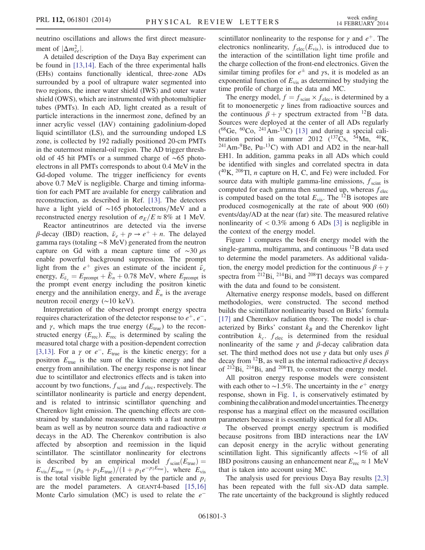neutrino oscillations and allows the first direct measurement of  $|\Delta m_{ee}^2|$ .

A detailed description of the Daya Bay experiment can be found in [\[13,14\].](#page-6-7) Each of the three experimental halls (EHs) contains functionally identical, three-zone ADs surrounded by a pool of ultrapure water segmented into two regions, the inner water shield (IWS) and outer water shield (OWS), which are instrumented with photomultiplier tubes (PMTs). In each AD, light created as a result of particle interactions in the innermost zone, defined by an inner acrylic vessel (IAV) containing gadolinium-doped liquid scintillator (LS), and the surrounding undoped LS zone, is collected by 192 radially positioned 20-cm PMTs in the outermost mineral-oil region. The AD trigger threshold of 45 hit PMTs or a summed charge of ∼65 photoelectrons in all PMTs corresponds to about 0.4 MeV in the Gd-doped volume. The trigger inefficiency for events above 0.7 MeV is negligible. Charge and timing information for each PMT are available for energy calibration and reconstruction, as described in Ref. [\[13\].](#page-6-7) The detectors have a light yield of ~165 photoelectrons/MeV and a reconstructed energy resolution of  $\sigma_E/E \approx 8\%$  at 1 MeV.

Reactor antineutrinos are detected via the inverse β-decay (IBD) reaction,  $\bar{\nu}_e + p \rightarrow e^+ + n$ . The delayed gamma rays (totaling ∼8 MeV) generated from the neutron capture on Gd with a mean capture time of  $\sim$ 30 μs enable powerful background suppression. The prompt light from the  $e^+$  gives an estimate of the incident  $\bar{\nu}_e$ energy,  $E_{\bar{\nu}_e} = E_{\text{prompt}} + \bar{E}_n + 0.78 \text{ MeV}$ , where  $E_{\text{prompt}}$  is the prompt event energy including the positron kinetic energy and the annihilation energy, and  $\bar{E}_n$  is the average neutron recoil energy (∼10 keV).

Interpretation of the observed prompt energy spectra requires characterization of the detector response to  $e^+, e^-,$ and  $\gamma$ , which maps the true energy ( $E_{true}$ ) to the reconstructed energy  $(E_{\text{rec}})$ .  $E_{\text{rec}}$  is determined by scaling the measured total charge with a position-dependent correction [\[3,13\]](#page-6-6). For a  $\gamma$  or  $e^-$ ,  $E_{true}$  is the kinetic energy; for a positron  $E_{true}$  is the sum of the kinetic energy and the energy from annihilation. The energy response is not linear due to scintillator and electronics effects and is taken into account by two functions,  $f_{\text{scint}}$  and  $f_{\text{elec}}$ , respectively. The scintillator nonlinearity is particle and energy dependent, and is related to intrinsic scintillator quenching and Cherenkov light emission. The quenching effects are constrained by standalone measurements with a fast neutron beam as well as by neutron source data and radioactive  $\alpha$ decays in the AD. The Cherenkov contribution is also affected by absorption and reemission in the liquid scintillator. The scintillator nonlinearity for electrons is described by an empirical model  $f_{\text{scint}}(E_{\text{true}})$  =  $E_{\text{vis}}/E_{\text{true}} = (p_0 + p_3 E_{\text{true}})/(1 + p_1 e^{-p_2 E_{\text{true}}})$ , where  $E_{\text{vis}}$ is the total visible light generated by the particle and  $p_i$ are the model parameters. A GEANT4-based [\[15,16\]](#page-7-0) Monte Carlo simulation (MC) is used to relate the  $e^-$ 

scintillator nonlinearity to the response for  $\gamma$  and  $e^+$ . The electronics nonlinearity,  $f_{\text{elec}}(E_{\text{vis}})$ , is introduced due to the interaction of the scintillation light time profile and the charge collection of the front-end electronics. Given the similar timing profiles for  $e^{\pm}$  and  $\gamma s$ , it is modeled as an exponential function of  $E_{vis}$  as determined by studying the time profile of charge in the data and MC.

The energy model,  $f = f_{\text{scint}} \times f_{\text{elec}}$ , is determined by a fit to monoenergetic  $\gamma$  lines from radioactive sources and the continuous  $\beta + \gamma$  spectrum extracted from <sup>12</sup>B data. Sources were deployed at the center of all ADs regularly  $( ^{68}Ge, \ ^{60}Co, \ ^{241}Am-^{13}C)$  [\[13\]](#page-6-7) and during a special calibration period in summer 2012 ( $^{137}Cs$ ,  $^{54}Mn$ ,  $^{40}K$ ,  $^{241}$ Am- $^{9}$ Be, Pu- $^{13}$ C) with AD1 and AD2 in the near-hall EH1. In addition, gamma peaks in all ADs which could be identified with singles and correlated spectra in data  $(^{40}$ K,  $^{208}$ Tl, *n* capture on H, C, and Fe) were included. For source data with multiple gamma-line emissions,  $f_{\text{scint}}$  is computed for each gamma then summed up, whereas  $f_{elec}$ is computed based on the total  $E_{\text{vis}}$ . The  $^{12}B$  isotopes are produced cosmogenically at the rate of about 900 (60) events/day/AD at the near (far) site. The measured relative nonlinearity of  $\langle 0.3\% \rangle$  among 6 ADs [\[3\]](#page-6-6) is negligible in the context of the energy model.

Figure [1](#page-3-0) compares the best-fit energy model with the single-gamma, multigamma, and continuous <sup>12</sup>B data used to determine the model parameters. As additional validation, the energy model prediction for the continuous  $\beta + \gamma$ spectra from  $2^{12}$ Bi,  $2^{14}$ Bi, and  $2^{08}$ Tl decays was compared with the data and found to be consistent.

Alternative energy response models, based on different methodologies, were constructed. The second method builds the scintillator nonlinearity based on Birks' formula [\[17\]](#page-7-1) and Cherenkov radiation theory. The model is characterized by Birks' constant  $k_B$  and the Cherenkov light contribution  $k_c$ .  $f_{elec}$  is determined from the residual nonlinearity of the same  $\gamma$  and  $\beta$ -decay calibration data set. The third method does not use  $\gamma$  data but only uses  $\beta$ decay from <sup>12</sup>B, as well as the internal radioactive  $\beta$  decays of <sup>212</sup>Bi, <sup>214</sup>Bi, and <sup>208</sup>Tl, to construct the energy model.

All positron energy response models were consistent with each other to ~1.5%. The uncertainty in the  $e^+$  energy response, shown in Fig. [1,](#page-3-0) is conservatively estimated by combining the calibration and model uncertainties. The energy response has a marginal effect on the measured oscillation parameters because it is essentially identical for all ADs.

The observed prompt energy spectrum is modified because positrons from IBD interactions near the IAV can deposit energy in the acrylic without generating scintillation light. This significantly affects ∼1% of all IBD positrons causing an enhancement near  $E_{\text{rec}} \approx 1 \text{ MeV}$ that is taken into account using MC.

The analysis used for previous Daya Bay results [\[2,3\]](#page-6-1) has been repeated with the full six-AD data sample. The rate uncertainty of the background is slightly reduced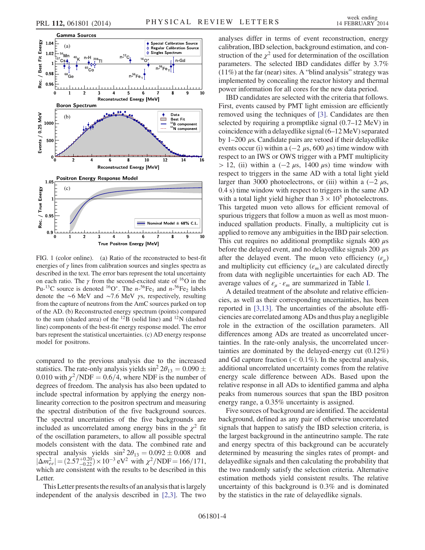

<span id="page-3-0"></span>

FIG. 1 (color online). (a) Ratio of the reconstructed to best-fit energies of  $\gamma$  lines from calibration sources and singles spectra as described in the text. The error bars represent the total uncertainty on each ratio. The  $\gamma$  from the second-excited state of <sup>16</sup>O in the Pu-<sup>13</sup>C source is denoted <sup>16</sup>O<sup>\*</sup>. The  $n^{-56}Fe_1$  and  $n^{-56}Fe_2$  labels denote the ∼6 MeV and ∼7.6 MeV γs, respectively, resulting from the capture of neutrons from the AmC sources parked on top of the AD. (b) Reconstructed energy spectrum (points) compared to the sum (shaded area) of the  $^{12}B$  (solid line) and  $^{12}N$  (dashed line) components of the best-fit energy response model. The error bars represent the statistical uncertainties. (c) AD energy response model for positrons.

compared to the previous analysis due to the increased statistics. The rate-only analysis yields  $\sin^2 2\theta_{13} = 0.090 \pm 0.000$ 0.010 with  $\chi^2/NDF = 0.6/4$ , where NDF is the number of degrees of freedom. The analysis has also been updated to include spectral information by applying the energy nonlinearity correction to the positron spectrum and measuring the spectral distribution of the five background sources. The spectral uncertainties of the five backgrounds are included as uncorrelated among energy bins in the  $\chi^2$  fit of the oscillation parameters, to allow all possible spectral models consistent with the data. The combined rate and spectral analysis yields  $\sin^2 2\theta_{13} = 0.092 \pm 0.008$  and  $|\Delta m_{ee}^2| = (2.57^{+0.20}_{-0.22}) \times 10^{-3} \text{ eV}^2 \text{ with } \chi^2/\text{NDF} = 166/171,$ which are consistent with the results to be described in this Letter.

This Letter presents the results of an analysis that is largely independent of the analysis described in [\[2,3\]](#page-6-1). The two analyses differ in terms of event reconstruction, energy calibration, IBD selection, background estimation, and construction of the  $\chi^2$  used for determination of the oscillation parameters. The selected IBD candidates differ by 3.7% (11%) at the far (near) sites. A "blind analysis" strategy was implemented by concealing the reactor history and thermal power information for all cores for the new data period.

IBD candidates are selected with the criteria that follows. First, events caused by PMT light emission are efficiently removed using the techniques of [\[3\].](#page-6-6) Candidates are then selected by requiring a promptlike signal (0.7–12 MeV) in coincidence with a delayedlike signal (6–12 MeV) separated by  $1-200$  μs. Candidate pairs are vetoed if their delayedlike events occur (i) within a ( $-2 \mu s$ , 600  $\mu s$ ) time window with respect to an IWS or OWS trigger with a PMT multiplicity  $> 12$ , (ii) within a (−2  $\mu$ s, 1400  $\mu$ s) time window with respect to triggers in the same AD with a total light yield larger than 3000 photoelectrons, or (iii) within a  $(-2 \mu s,$ 0.4 s) time window with respect to triggers in the same AD with a total light yield higher than  $3 \times 10^5$  photoelectrons. This targeted muon veto allows for efficient removal of spurious triggers that follow a muon as well as most muoninduced spallation products. Finally, a multiplicity cut is applied to remove any ambiguities in the IBD pair selection. This cut requires no additional promptlike signals 400  $\mu$ s before the delayed event, and no delayed like signals 200  $\mu$ s after the delayed event. The muon veto efficiency  $(\varepsilon_{\mu})$ and multiplicity cut efficiency  $(\varepsilon_m)$  are calculated directly from data with negligible uncertainties for each AD. The average values of  $\varepsilon_u \cdot \varepsilon_m$  are summarized in Table [I](#page-4-0).

A detailed treatment of the absolute and relative efficiencies, as well as their corresponding uncertainties, has been reported in [\[3,13\].](#page-6-6) The uncertainties of the absolute efficiencies are correlated among ADs and thus play a negligible role in the extraction of the oscillation parameters. All differences among ADs are treated as uncorrelated uncertainties. In the rate-only analysis, the uncorrelated uncertainties are dominated by the delayed-energy cut (0.12%) and Gd capture fraction  $\left($  < 0.1%). In the spectral analysis, additional uncorrelated uncertainty comes from the relative energy scale difference between ADs. Based upon the relative response in all ADs to identified gamma and alpha peaks from numerous sources that span the IBD positron energy range, a 0.35% uncertainty is assigned.

Five sources of background are identified. The accidental background, defined as any pair of otherwise uncorrelated signals that happen to satisfy the IBD selection criteria, is the largest background in the antineutrino sample. The rate and energy spectra of this background can be accurately determined by measuring the singles rates of prompt- and delayedlike signals and then calculating the probability that the two randomly satisfy the selection criteria. Alternative estimation methods yield consistent results. The relative uncertainty of this background is 0.3% and is dominated by the statistics in the rate of delayedlike signals.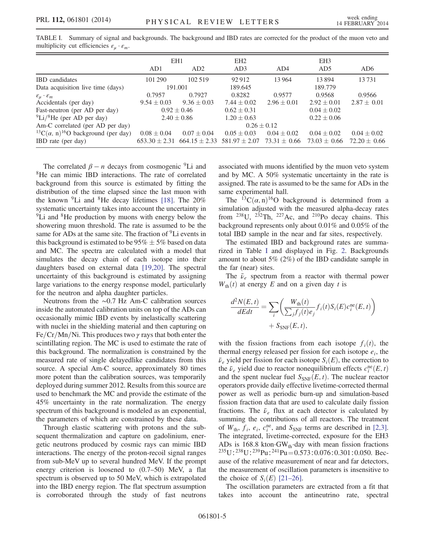|                                                                     | EH <sub>1</sub>   |                   | EH <sub>2</sub>   |                  | EH <sub>3</sub>  |                  |
|---------------------------------------------------------------------|-------------------|-------------------|-------------------|------------------|------------------|------------------|
|                                                                     | AD1               | AD2               | AD3               | AD4              | AD <sub>5</sub>  | AD <sub>6</sub>  |
| <b>IBD</b> candidates                                               | 101 290           | 102.519           | 92 912            | 13 9 64          | 13894            | 13731            |
| Data acquisition live time (days)                                   | 191.001           |                   | 189.645           |                  | 189.779          |                  |
| $\varepsilon_{\mu}\cdot\varepsilon_m$                               | 0.7957            | 0.7927            | 0.8282            | 0.9577           | 0.9568           | 0.9566           |
| Accidentals (per day)                                               | $9.54 \pm 0.03$   | $9.36 \pm 0.03$   | $7.44 \pm 0.02$   | $2.96 \pm 0.01$  | $2.92 \pm 0.01$  | $2.87 \pm 0.01$  |
| Fast-neutron (per AD per day)                                       | $0.92 \pm 0.46$   |                   | $0.62 \pm 0.31$   |                  | $0.04 \pm 0.02$  |                  |
| $^{9}$ Li/ <sup>8</sup> He (per AD per day)                         | $2.40 \pm 0.86$   |                   | $1.20 \pm 0.63$   |                  | $0.22 \pm 0.06$  |                  |
| Am-C correlated (per AD per day)                                    | $0.26 \pm 0.12$   |                   |                   |                  |                  |                  |
| <sup>13</sup> C( $\alpha$ , n) <sup>16</sup> O background (per day) | $0.08 \pm 0.04$   | $0.07 \pm 0.04$   | $0.05 \pm 0.03$   | $0.04 \pm 0.02$  | $0.04 \pm 0.02$  | $0.04 \pm 0.02$  |
| IBD rate (per day)                                                  | $653.30 \pm 2.31$ | $664.15 \pm 2.33$ | $581.97 \pm 2.07$ | $73.31 \pm 0.66$ | $73.03 \pm 0.66$ | $72.20 \pm 0.66$ |

<span id="page-4-0"></span>TABLE I. Summary of signal and backgrounds. The background and IBD rates are corrected for the product of the muon veto and multiplicity cut efficiencies  $\varepsilon_{\mu} \cdot \varepsilon_{m}$ .

The correlated  $\beta - n$  decays from cosmogenic <sup>9</sup>Li and <sup>8</sup>He can mimic IBD interactions. The rate of correlated background from this source is estimated by fitting the distribution of the time elapsed since the last muon with the known  ${}^{9}$ Li and  ${}^{8}$ He decay lifetimes [\[18\]](#page-7-2). The 20% systematic uncertainty takes into account the uncertainty in  ${}^{9}$ Li and  ${}^{8}$ He production by muons with energy below the showering muon threshold. The rate is assumed to be the same for ADs at the same site. The fraction of <sup>9</sup>Li events in this background is estimated to be  $95\% \pm 5\%$  based on data and MC. The spectra are calculated with a model that simulates the decay chain of each isotope into their daughters based on external data [\[19,20\]](#page-7-3). The spectral uncertainty of this background is estimated by assigning large variations to the energy response model, particularly for the neutron and alpha daughter particles.

Neutrons from the ∼0.7 Hz Am-C calibration sources inside the automated calibration units on top of the ADs can occasionally mimic IBD events by inelastically scattering with nuclei in the shielding material and then capturing on Fe/Cr/Mn/Ni. This produces two  $\gamma$  rays that both enter the scintillating region. The MC is used to estimate the rate of this background. The normalization is constrained by the measured rate of single delayedlike candidates from this source. A special Am-C source, approximately 80 times more potent than the calibration sources, was temporarily deployed during summer 2012. Results from this source are used to benchmark the MC and provide the estimate of the 45% uncertainty in the rate normalization. The energy spectrum of this background is modeled as an exponential, the parameters of which are constrained by these data.

Through elastic scattering with protons and the subsequent thermalization and capture on gadolinium, energetic neutrons produced by cosmic rays can mimic IBD interactions. The energy of the proton-recoil signal ranges from sub-MeV up to several hundred MeV. If the prompt energy criterion is loosened to (0.7–50) MeV, a flat spectrum is observed up to 50 MeV, which is extrapolated into the IBD energy region. The flat spectrum assumption is corroborated through the study of fast neutrons associated with muons identified by the muon veto system and by MC. A 50% systematic uncertainty in the rate is assigned. The rate is assumed to be the same for ADs in the same experimental hall.

The <sup>13</sup>C( $\alpha$ , n)<sup>16</sup>O background is determined from a simulation adjusted with the measured alpha-decay rates from  $^{238}$ U,  $^{232}$ Th,  $^{227}$ Ac, and  $^{210}$ Po decay chains. This background represents only about 0.01% and 0.05% of the total IBD sample in the near and far sites, respectively.

The estimated IBD and background rates are summarized in Table [I](#page-4-0) and displayed in Fig. [2](#page-5-0). Backgrounds amount to about 5% (2%) of the IBD candidate sample in the far (near) sites.

The  $\bar{\nu}_e$  spectrum from a reactor with thermal power  $W_{\text{th}}(t)$  at energy E and on a given day t is

$$
\frac{d^2N(E,t)}{dEdt} = \sum_{i} \left( \frac{W_{\text{th}}(t)}{\sum_{j} f_j(t) e_j} f_i(t) S_i(E) c_i^{\text{ne}}(E,t) \right) + S_{\text{SNF}}(E,t),
$$

with the fission fractions from each isotope  $f_i(t)$ , the thermal energy released per fission for each isotope  $e_i$ , the  $\bar{\nu}_e$  yield per fission for each isotope  $S_i(E)$ , the correction to the  $\bar{\nu}_e$  yield due to reactor nonequilibrium effects  $c_i^{\text{ne}}(E, t)$ and the spent nuclear fuel  $S_{SNF}(E, t)$ . The nuclear reactor operators provide daily effective livetime-corrected thermal power as well as periodic burn-up and simulation-based fission fraction data that are used to calculate daily fission fractions. The  $\bar{\nu}_e$  flux at each detector is calculated by summing the contributions of all reactors. The treatment of  $W_{\text{th}}$ ,  $f_i$ ,  $e_i$ ,  $c_i^{\text{ne}}$ , and  $S_{\text{SNF}}$  terms are described in [\[2,3\]](#page-6-1). The integrated, livetime-corrected, exposure for the EH3 ADs is 168.8 kton⋅GW<sub>th</sub>⋅day with mean fission fractions <sup>235</sup>U∶<sup>238</sup>U∶<sup>239</sup>Pu∶<sup>241</sup>Pu=0.573∶0.076∶0.301∶0.050. Because of the relative measurement of near and far detectors, the measurement of oscillation parameters is insensitive to the choice of  $S_i(E)$  [21–[26\].](#page-7-4)

The oscillation parameters are extracted from a fit that takes into account the antineutrino rate, spectral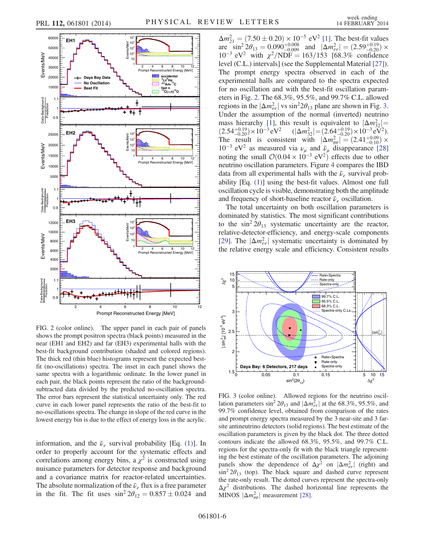<span id="page-5-0"></span>

FIG. 2 (color online). The upper panel in each pair of panels shows the prompt positron spectra (black points) measured in the near (EH1 and EH2) and far (EH3) experimental halls with the best-fit background contribution (shaded and colored regions). The thick red (thin blue) histograms represent the expected bestfit (no-oscillations) spectra. The inset in each panel shows the same spectra with a logarithmic ordinate. In the lower panel in each pair, the black points represent the ratio of the backgroundsubtracted data divided by the predicted no-oscillation spectra. The error bars represent the statistical uncertainty only. The red curve in each lower panel represents the ratio of the best-fit to no-oscillations spectra. The change in slope of the red curve in the lowest energy bin is due to the effect of energy loss in the acrylic.

information, and the  $\bar{\nu}_e$  survival probability [Eq. [\(1\)](#page-1-0)]. In order to properly account for the systematic effects and correlations among energy bins, a  $\chi^2$  is constructed using nuisance parameters for detector response and background and a covariance matrix for reactor-related uncertainties. The absolute normalization of the  $\bar{\nu}_e$  flux is a free parameter in the fit. The fit uses  $\sin^2 2\theta_{12} = 0.857 \pm 0.024$  and

 $\Delta m_{21}^2 = (7.50 \pm 0.20) \times 10^{-5} \text{ eV}^2$  [\[1\].](#page-6-0) The best-fit values are  $\sin^2 2\theta_{13} = 0.090^{+0.008}_{-0.009}$  and  $|\Delta m_{ee}^2| = (2.59^{+0.19}_{-0.20}) \times$  $10^{-3}$  eV<sup>2</sup> with  $\chi^2/NDF = 163/153$  [68.3% confidence level (C.L.) intervals] (see the Supplemental Material [\[27\]](#page-7-5)). The prompt energy spectra observed in each of the experimental halls are compared to the spectra expected for no oscillation and with the best-fit oscillation parameters in Fig. [2.](#page-5-0) The 68.3%, 95.5%, and 99.7% C.L. allowed regions in the  $|\Delta m_{ee}^2|$  vs sin<sup>2</sup>2 $\theta_{13}$  $\theta_{13}$  $\theta_{13}$  plane are shown in Fig. 3. Under the assumption of the normal (inverted) neutrino mass hierarchy [\[1\]](#page-6-0), this result is equivalent to  $|\Delta m_{32}^2|$  = mass nierarchy [1], this result is equivalent to  $|\Delta m_{32}^2|$  =<br>  $(2.54^{+0.19}_{-0.20}) \times 10^{-3} \text{ eV}^2$   $(|\Delta m_{32}^2|$  =  $(2.64^{+0.19}_{-0.20}) \times 10^{-3} \text{ eV}^2)$ . The result is consistent with  $|\Delta m_{\mu\mu}^2| = (2.41^{+0.09}_{-0.10}) \times$ 10<sup>-3</sup> eV<sup>2</sup> as measured via  $\nu_{\mu}$  and  $\bar{\nu}_{\mu}$  disappearance [\[28\]](#page-7-6) noting the small  $\mathcal{O}(0.04 \times 10^{-3} \text{ eV}^2)$  effects due to other neutrino oscillation parameters. Figure [4](#page-6-8) compares the IBD data from all experimental halls with the  $\bar{\nu}_e$  survival probability [Eq. [\(1\)](#page-1-0)] using the best-fit values. Almost one full oscillation cycle is visible, demonstrating both the amplitude and frequency of short-baseline reactor  $\bar{\nu}_e$  oscillation.

The total uncertainty on both oscillation parameters is dominated by statistics. The most significant contributions to the  $\sin^2 2\theta_{13}$  systematic uncertainty are the reactor, relative-detector-efficiency, and energy-scale components [\[29\]](#page-7-7). The  $|\Delta m_{ee}^2|$  systematic uncertainty is dominated by the relative energy scale and efficiency. Consistent results

<span id="page-5-1"></span>

FIG. 3 (color online). Allowed regions for the neutrino oscillation parameters sin<sup>2</sup>  $2\theta_{13}$  and  $|\Delta m_{ee}^2|$  at the 68.3%, 95.5%, and 99.7% confidence level, obtained from comparison of the rates and prompt energy spectra measured by the 3 near-site and 3 farsite antineutrino detectors (solid regions). The best estimate of the oscillation parameters is given by the black dot. The three dotted contours indicate the allowed 68.3%, 95.5%, and 99.7% C.L. regions for the spectra-only fit with the black triangle representing the best estimate of the oscillation parameters. The adjoining panels show the dependence of  $\Delta \chi^2$  on  $|\Delta m_{ee}^2|$  (right) and  $\sin^2 2\theta_{13}$  (top). The black square and dashed curve represent the rate-only result. The dotted curves represent the spectra-only  $\Delta \chi^2$  distributions. The dashed horizontal line represents the MINOS  $|\Delta m_{\mu\mu}^2|$  measurement [\[28\].](#page-7-6)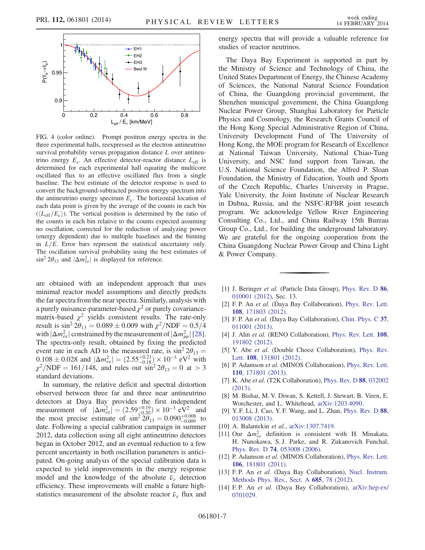<span id="page-6-8"></span>

FIG. 4 (color online). Prompt positron energy spectra in the three experimental halls, reexpressed as the electron antineutrino survival probability versus propagation distance L over antineutrino energy  $E_{\nu}$ . An effective detector-reactor distance  $L_{\text{eff}}$  is determined for each experimental hall equating the multicore oscillated flux to an effective oscillated flux from a single baseline. The best estimate of the detector response is used to convert the background-subtracted positron energy spectrum into the antineutrino energy spectrum  $E_{\nu}$ . The horizontal location of each data point is given by the average of the counts in each bin  $(\langle L_{\text{eff}}/E_{\nu} \rangle)$ . The vertical position is determined by the ratio of the counts in each bin relative to the counts expected assuming no oscillation, corrected for the reduction of analyzing power (energy dependent) due to multiple baselines and the binning in  $L/E$ . Error bars represent the statistical uncertainty only. The oscillation survival probability using the best estimates of  $\sin^2 2\theta_{13}$  and  $|\Delta m_{ee}^2|$  is displayed for reference.

are obtained with an independent approach that uses minimal reactor model assumptions and directly predicts the far spectra from the near spectra. Similarly, analysis with a purely nuisance-parameter-based  $\chi^2$  or purely covariancematrix-based  $\chi^2$  yields consistent results. The rate-only result is  $\sin^2 2\theta_{13} = 0.089 \pm 0.009$  with  $\chi^2/\text{NDF} = 0.5/4$ with  $|\Delta m_{ee}^2|$  constrained by the measurement of  $|\Delta m_{\mu\mu}^2|$  [\[28\]](#page-7-6). The spectra-only result, obtained by fixing the predicted event rate in each AD to the measured rate, is  $\sin^2 2\theta_{13} =$  $0.108 \pm 0.028$  and  $|\Delta m_{ee}^2| = (2.55 \pm 0.18) \times 10^{-3}$  eV<sup>2</sup> with  $\chi^2/NDF = 161/148$ , and rules out  $\sin^2 2\theta_{13} = 0$  at  $> 3$ standard deviations.

In summary, the relative deficit and spectral distortion observed between three far and three near antineutrino detectors at Daya Bay provides the first independent measurement of  $|\Delta m_{ee}^2| = (2.59_{-0.20}^{+0.19}) \times 10^{-3} \text{ eV}^2$  and the most precise estimate of  $\sin^2 2\theta_{13} = 0.090^{+0.008}_{-0.009}$  to date. Following a special calibration campaign in summer 2012, data collection using all eight antineutrino detectors began in October 2012, and an eventual reduction to a few percent uncertainty in both oscillation parameters is anticipated. On-going analysis of the special calibration data is expected to yield improvements in the energy response model and the knowledge of the absolute  $\bar{\nu}_e$  detection efficiency. These improvements will enable a future highstatistics measurement of the absolute reactor  $\bar{\nu}_e$  flux and energy spectra that will provide a valuable reference for studies of reactor neutrinos.

The Daya Bay Experiment is supported in part by the Ministry of Science and Technology of China, the United States Department of Energy, the Chinese Academy of Sciences, the National Natural Science Foundation of China, the Guangdong provincial government, the Shenzhen municipal government, the China Guangdong Nuclear Power Group, Shanghai Laboratory for Particle Physics and Cosmology, the Research Grants Council of the Hong Kong Special Administrative Region of China, University Development Fund of The University of Hong Kong, the MOE program for Research of Excellence at National Taiwan University, National Chiao-Tung University, and NSC fund support from Taiwan, the U.S. National Science Foundation, the Alfred P. Sloan Foundation, the Ministry of Education, Youth and Sports of the Czech Republic, Charles University in Prague, Yale University, the Joint Institute of Nuclear Research in Dubna, Russia, and the NSFC-RFBR joint research program. We acknowledge Yellow River Engineering Consulting Co., Ltd., and China Railway 15th Bureau Group Co., Ltd., for building the underground laboratory. We are grateful for the ongoing cooperation from the China Guangdong Nuclear Power Group and China Light & Power Company.

- <span id="page-6-1"></span><span id="page-6-0"></span>[1] J. Beringer et al. (Particle Data Group), [Phys. Rev. D](http://dx.doi.org/10.1103/PhysRevD.86.010001) 86, [010001 \(2012\),](http://dx.doi.org/10.1103/PhysRevD.86.010001) Sec. 13.
- <span id="page-6-6"></span>[2] F. P. An et al. (Daya Bay Collaboration), [Phys. Rev. Lett.](http://dx.doi.org/10.1103/PhysRevLett.108.171803) 108[, 171803 \(2012\).](http://dx.doi.org/10.1103/PhysRevLett.108.171803)
- <span id="page-6-2"></span>[3] F. P. An et al. (Daya Bay Collaboration), [Chin. Phys. C](http://dx.doi.org/10.1088/1674-1137/37/1/011001) 37, [011001 \(2013\).](http://dx.doi.org/10.1088/1674-1137/37/1/011001)
- [4] J. Ahn et al. (RENO Collaboration), [Phys. Rev. Lett.](http://dx.doi.org/10.1103/PhysRevLett.108.191802) 108, [191802 \(2012\).](http://dx.doi.org/10.1103/PhysRevLett.108.191802)
- [5] Y. Abe et al. (Double Chooz Collaboration), [Phys. Rev.](http://dx.doi.org/10.1103/PhysRevLett.108.131801) Lett. **108**[, 131801 \(2012\)](http://dx.doi.org/10.1103/PhysRevLett.108.131801).
- [6] P. Adamson et al. (MINOS Collaboration), [Phys. Rev. Lett.](http://dx.doi.org/10.1103/PhysRevLett.110.171801) 110[, 171801 \(2013\).](http://dx.doi.org/10.1103/PhysRevLett.110.171801)
- <span id="page-6-3"></span>[7] K. Abe et al. (T2K Collaboration), [Phys. Rev. D](http://dx.doi.org/10.1103/PhysRevD.88.032002) 88, 032002 [\(2013\).](http://dx.doi.org/10.1103/PhysRevD.88.032002)
- [8] M. Bishai, M. V. Diwan, S. Kettell, J. Stewart, B. Viren, E. Worchester, and L. Whitehead, [arXiv:1203.4090.](http://arXiv.org/abs/1203.4090)
- [9] Y. F. Li, J. Cao, Y. F. Wang, and L. Zhan, [Phys. Rev. D](http://dx.doi.org/10.1103/PhysRevD.88.013008) 88, [013008 \(2013\).](http://dx.doi.org/10.1103/PhysRevD.88.013008)
- <span id="page-6-4"></span>[10] A. Balantekin *et al.*, [arXiv:1307.7419.](http://arXiv.org/abs/1307.7419)
- <span id="page-6-5"></span>[11] Our  $\Delta m_{ee}^2$  definition is consistent with H. Minakata, H. Nunokawa, S. J. Parke, and R. Zukanovich Funchal, Phys. Rev. D 74[, 053008 \(2006\)](http://dx.doi.org/10.1103/PhysRevD.74.053008).
- <span id="page-6-7"></span>[12] P. Adamson et al. (MINOS Collaboration), [Phys. Rev. Lett.](http://dx.doi.org/10.1103/PhysRevLett.106.181801) 106[, 181801 \(2011\).](http://dx.doi.org/10.1103/PhysRevLett.106.181801)
- [13] F. P. An et al. (Daya Bay Collaboration), [Nucl. Instrum.](http://dx.doi.org/10.1016/j.nima.2012.05.030) [Methods Phys. Res., Sect. A](http://dx.doi.org/10.1016/j.nima.2012.05.030) 685, 78 (2012).
- [14] F.P. An et al. (Daya Bay Collaboration), [arXiv:hep-ex/](http://arXiv.org/abs/hep-ex/0701029) [0701029.](http://arXiv.org/abs/hep-ex/0701029)